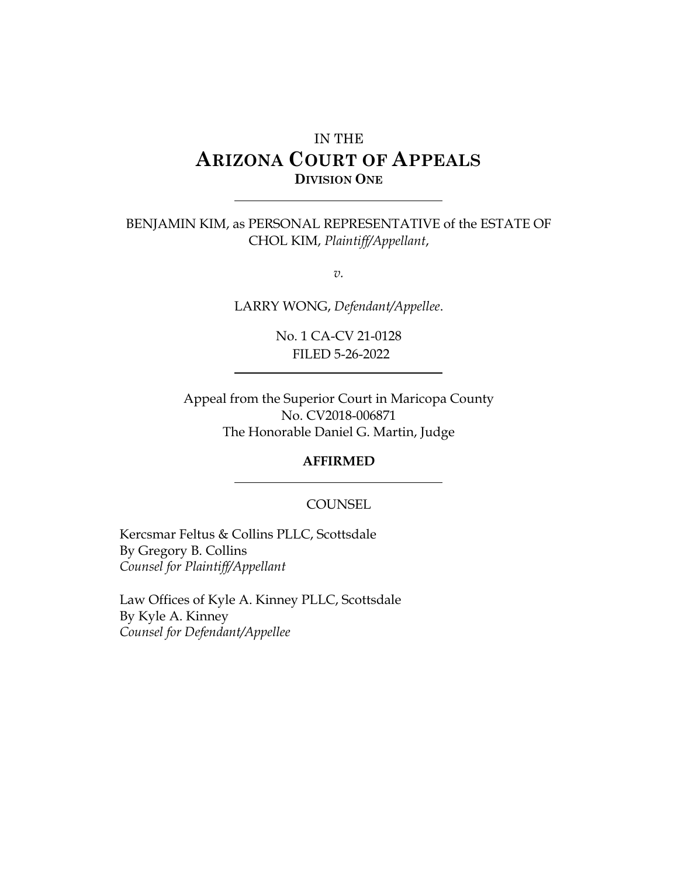# IN THE **ARIZONA COURT OF APPEALS DIVISION ONE**

### BENJAMIN KIM, as PERSONAL REPRESENTATIVE of the ESTATE OF CHOL KIM, *Plaintiff/Appellant*,

*v.*

LARRY WONG, *Defendant/Appellee*.

No. 1 CA-CV 21-0128 FILED 5-26-2022

Appeal from the Superior Court in Maricopa County No. CV2018-006871 The Honorable Daniel G. Martin, Judge

#### **AFFIRMED**

#### **COUNSEL**

Kercsmar Feltus & Collins PLLC, Scottsdale By Gregory B. Collins *Counsel for Plaintiff/Appellant*

Law Offices of Kyle A. Kinney PLLC, Scottsdale By Kyle A. Kinney *Counsel for Defendant/Appellee*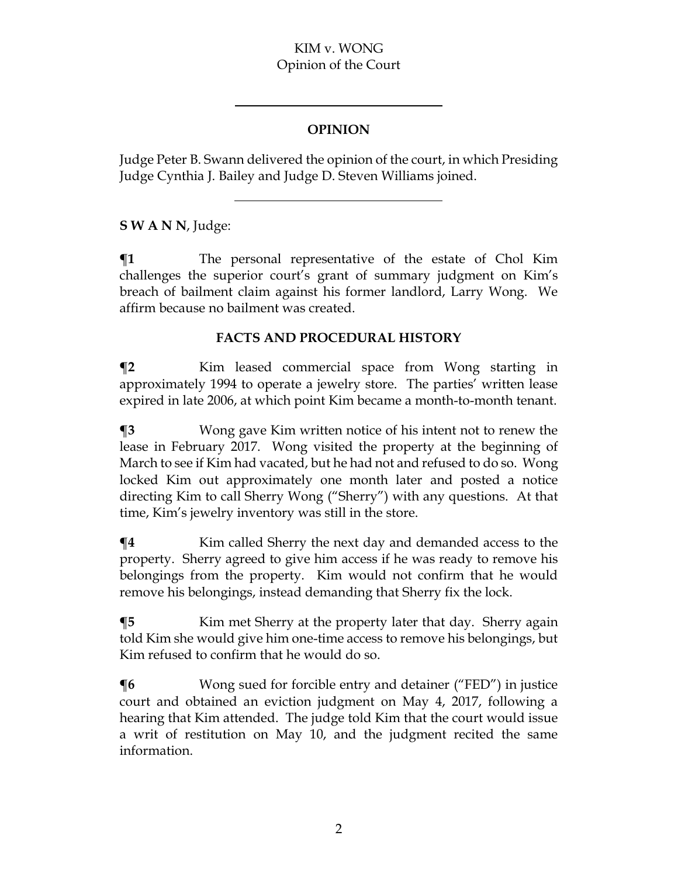#### KIM v. WONG Opinion of the Court

# **OPINION**

Judge Peter B. Swann delivered the opinion of the court, in which Presiding Judge Cynthia J. Bailey and Judge D. Steven Williams joined.

# **S W A N N**, Judge:

**¶1** The personal representative of the estate of Chol Kim challenges the superior court's grant of summary judgment on Kim's breach of bailment claim against his former landlord, Larry Wong. We affirm because no bailment was created.

# **FACTS AND PROCEDURAL HISTORY**

**¶2** Kim leased commercial space from Wong starting in approximately 1994 to operate a jewelry store. The parties' written lease expired in late 2006, at which point Kim became a month-to-month tenant.

**¶3** Wong gave Kim written notice of his intent not to renew the lease in February 2017. Wong visited the property at the beginning of March to see if Kim had vacated, but he had not and refused to do so. Wong locked Kim out approximately one month later and posted a notice directing Kim to call Sherry Wong ("Sherry") with any questions. At that time, Kim's jewelry inventory was still in the store.

**¶4** Kim called Sherry the next day and demanded access to the property. Sherry agreed to give him access if he was ready to remove his belongings from the property. Kim would not confirm that he would remove his belongings, instead demanding that Sherry fix the lock.

**¶5** Kim met Sherry at the property later that day.Sherry again told Kim she would give him one-time access to remove his belongings, but Kim refused to confirm that he would do so.

**¶6** Wong sued for forcible entry and detainer ("FED") in justice court and obtained an eviction judgment on May 4, 2017, following a hearing that Kim attended.The judge told Kim that the court would issue a writ of restitution on May 10, and the judgment recited the same information.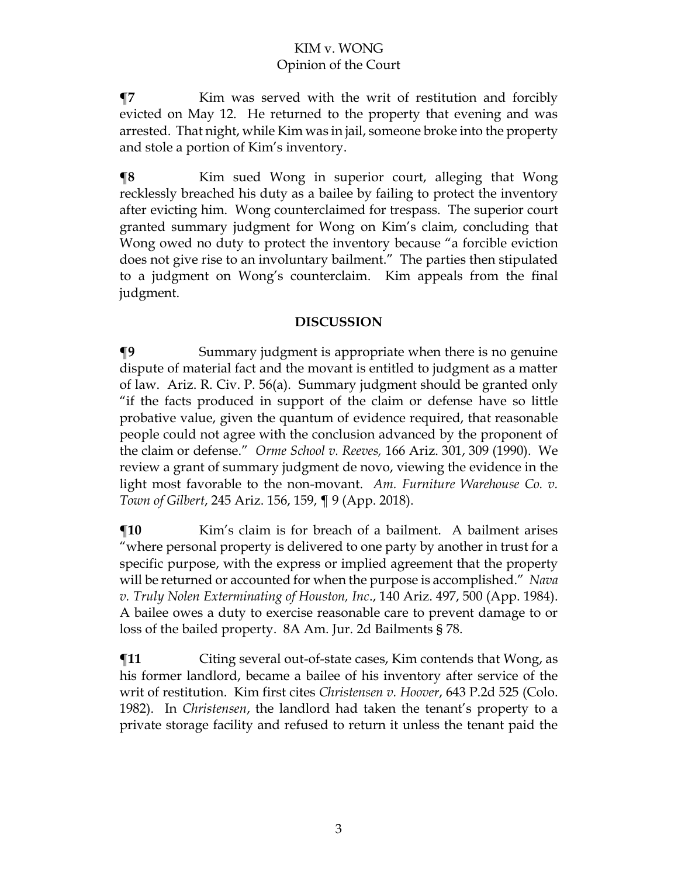**¶7** Kim was served with the writ of restitution and forcibly evicted on May 12. He returned to the property that evening and was arrested. That night, while Kim was in jail, someone broke into the property and stole a portion of Kim's inventory.

**The Term** Kim sued Wong in superior court, alleging that Wong recklessly breached his duty as a bailee by failing to protect the inventory after evicting him.Wong counterclaimed for trespass.The superior court granted summary judgment for Wong on Kim's claim, concluding that Wong owed no duty to protect the inventory because "a forcible eviction does not give rise to an involuntary bailment."The parties then stipulated to a judgment on Wong's counterclaim. Kim appeals from the final judgment.

#### **DISCUSSION**

**¶9** Summary judgment is appropriate when there is no genuine dispute of material fact and the movant is entitled to judgment as a matter of law. Ariz. R. Civ. P. 56(a). Summary judgment should be granted only "if the facts produced in support of the claim or defense have so little probative value, given the quantum of evidence required, that reasonable people could not agree with the conclusion advanced by the proponent of the claim or defense." *Orme School v. Reeves,* 166 Ariz. 301, 309 (1990). We review a grant of summary judgment de novo, viewing the evidence in the light most favorable to the non-movant. *Am. Furniture Warehouse Co. v. Town of Gilbert*, 245 Ariz. 156, 159, ¶ 9 (App. 2018).

 $\P$ **10** Kim's claim is for breach of a bailment. A bailment arises "where personal property is delivered to one party by another in trust for a specific purpose, with the express or implied agreement that the property will be returned or accounted for when the purpose is accomplished." *Nava v. Truly Nolen Exterminating of Houston, Inc*., 140 Ariz. 497, 500 (App. 1984). A bailee owes a duty to exercise reasonable care to prevent damage to or loss of the bailed property. 8A Am. Jur. 2d Bailments § 78.

 $\P$ **11** Citing several out-of-state cases, Kim contends that Wong, as his former landlord, became a bailee of his inventory after service of the writ of restitution. Kim first cites *Christensen v. Hoover*, 643 P.2d 525 (Colo. 1982). In *Christensen*, the landlord had taken the tenant's property to a private storage facility and refused to return it unless the tenant paid the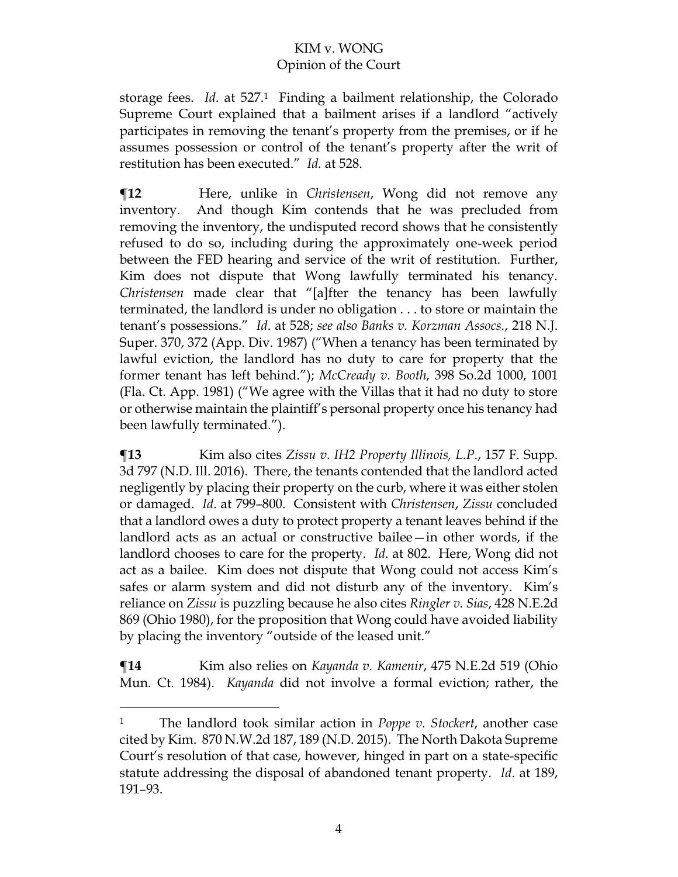## KIM v. WONG Opinion of the Court

storage fees. *Id*. at 527.<sup>1</sup> Finding a bailment relationship, the Colorado Supreme Court explained that a bailment arises if a landlord "actively participates in removing the tenant's property from the premises, or if he assumes possession or control of the tenant's property after the writ of restitution has been executed." *Id.* at 528.

**¶12** Here, unlike in *Christensen*, Wong did not remove any inventory. And though Kim contends that he was precluded from removing the inventory, the undisputed record shows that he consistently refused to do so, including during the approximately one-week period between the FED hearing and service of the writ of restitution. Further, Kim does not dispute that Wong lawfully terminated his tenancy. *Christensen* made clear that "[a]fter the tenancy has been lawfully terminated, the landlord is under no obligation . . . to store or maintain the tenant's possessions." *Id*. at 528; *see also Banks v. Korzman Assocs.*, 218 N.J. Super. 370, 372 (App. Div. 1987) ("When a tenancy has been terminated by lawful eviction, the landlord has no duty to care for property that the former tenant has left behind."); *McCready v. Booth*, 398 So.2d 1000, 1001 (Fla. Ct. App. 1981) ("We agree with the Villas that it had no duty to store or otherwise maintain the plaintiff's personal property once his tenancy had been lawfully terminated.").

**¶13** Kim also cites *Zissu v. IH2 Property Illinois, L.P*., 157 F. Supp. 3d 797 (N.D. Ill. 2016). There, the tenants contended that the landlord acted negligently by placing their property on the curb, where it was either stolen or damaged. *Id*. at 799–800. Consistent with *Christensen*, *Zissu* concluded that a landlord owes a duty to protect property a tenant leaves behind if the landlord acts as an actual or constructive bailee—in other words, if the landlord chooses to care for the property. *Id*. at 802. Here, Wong did not act as a bailee. Kim does not dispute that Wong could not access Kim's safes or alarm system and did not disturb any of the inventory. Kim's reliance on *Zissu* is puzzling because he also cites *Ringler v. Sias*, 428 N.E.2d 869 (Ohio 1980), for the proposition that Wong could have avoided liability by placing the inventory "outside of the leased unit."

**¶14** Kim also relies on *Kayanda v. Kamenir*, 475 N.E.2d 519 (Ohio Mun. Ct. 1984).*Kayanda* did not involve a formal eviction; rather, the

<sup>1</sup> The landlord took similar action in *Poppe v. Stockert*, another case cited by Kim. 870 N.W.2d 187, 189 (N.D. 2015). The North Dakota Supreme Court's resolution of that case, however, hinged in part on a state-specific statute addressing the disposal of abandoned tenant property. *Id*. at 189, 191–93.